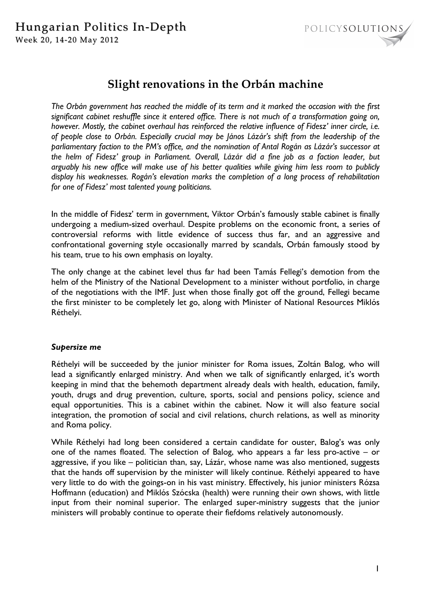

# **Slight renovations in the Orbán machine**

*The Orbán government has reached the middle of its term and it marked the occasion with the first significant cabinet reshuffle since it entered office. There is not much of a transformation going on, however. Mostly, the cabinet overhaul has reinforced the relative influence of Fidesz' inner circle, i.e. of people close to Orbán. Especially crucial may be János Lázár's shift from the leadership of the parliamentary faction to the PM's office, and the nomination of Antal Rogán as Lázár's successor at the helm of Fidesz' group in Parliament. Overall, Lázár did a fine job as a faction leader, but arguably his new office will make use of his better qualities while giving him less room to publicly display his weaknesses. Rogán's elevation marks the completion of a long process of rehabilitation for one of Fidesz' most talented young politicians.* 

In the middle of Fidesz' term in government, Viktor Orbán's famously stable cabinet is finally undergoing a medium-sized overhaul. Despite problems on the economic front, a series of controversial reforms with little evidence of success thus far, and an aggressive and confrontational governing style occasionally marred by scandals, Orbán famously stood by his team, true to his own emphasis on loyalty.

The only change at the cabinet level thus far had been Tamás Fellegi's demotion from the helm of the Ministry of the National Development to a minister without portfolio, in charge of the negotiations with the IMF. Just when those finally got off the ground, Fellegi became the first minister to be completely let go, along with Minister of National Resources Miklós Réthelyi.

## *Supersize me*

Réthelyi will be succeeded by the junior minister for Roma issues, Zoltán Balog, who will lead a significantly enlarged ministry. And when we talk of significantly enlarged, it's worth keeping in mind that the behemoth department already deals with health, education, family, youth, drugs and drug prevention, culture, sports, social and pensions policy, science and equal opportunities. This is a cabinet within the cabinet. Now it will also feature social integration, the promotion of social and civil relations, church relations, as well as minority and Roma policy.

While Réthelyi had long been considered a certain candidate for ouster, Balog's was only one of the names floated. The selection of Balog, who appears a far less pro-active – or aggressive, if you like – politician than, say, Lázár, whose name was also mentioned, suggests that the hands off supervision by the minister will likely continue. Réthelyi appeared to have very little to do with the goings-on in his vast ministry. Effectively, his junior ministers Rózsa Hoffmann (education) and Miklós Szócska (health) were running their own shows, with little input from their nominal superior. The enlarged super-ministry suggests that the junior ministers will probably continue to operate their fiefdoms relatively autonomously.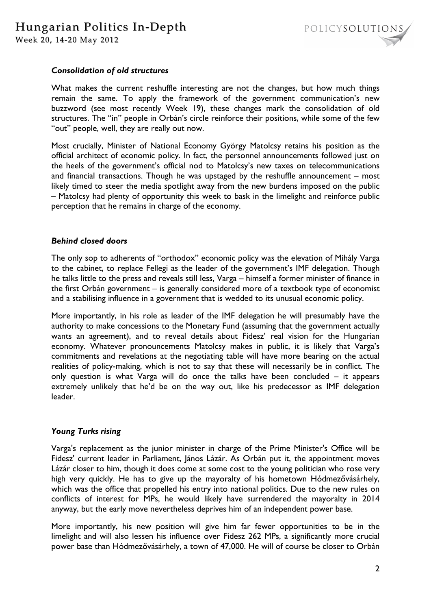

### *Consolidation of old structures*

What makes the current reshuffle interesting are not the changes, but how much things remain the same. To apply the framework of the government communication's new buzzword (see most recently Week 19), these changes mark the consolidation of old structures. The "in" people in Orbán's circle reinforce their positions, while some of the few "out" people, well, they are really out now.

Most crucially, Minister of National Economy György Matolcsy retains his position as the official architect of economic policy. In fact, the personnel announcements followed just on the heels of the government's official nod to Matolcsy's new taxes on telecommunications and financial transactions. Though he was upstaged by the reshuffle announcement – most likely timed to steer the media spotlight away from the new burdens imposed on the public – Matolcsy had plenty of opportunity this week to bask in the limelight and reinforce public perception that he remains in charge of the economy.

#### *Behind closed doors*

The only sop to adherents of "orthodox" economic policy was the elevation of Mihály Varga to the cabinet, to replace Fellegi as the leader of the government's IMF delegation. Though he talks little to the press and reveals still less, Varga – himself a former minister of finance in the first Orbán government – is generally considered more of a textbook type of economist and a stabilising influence in a government that is wedded to its unusual economic policy.

More importantly, in his role as leader of the IMF delegation he will presumably have the authority to make concessions to the Monetary Fund (assuming that the government actually wants an agreement), and to reveal details about Fidesz' real vision for the Hungarian economy. Whatever pronouncements Matolcsy makes in public, it is likely that Varga's commitments and revelations at the negotiating table will have more bearing on the actual realities of policy-making, which is not to say that these will necessarily be in conflict. The only question is what Varga will do once the talks have been concluded – it appears extremely unlikely that he'd be on the way out, like his predecessor as IMF delegation leader.

#### *Young Turks rising*

Varga's replacement as the junior minister in charge of the Prime Minister's Office will be Fidesz' current leader in Parliament, János Lázár. As Orbán put it, the appointment moves Lázár closer to him, though it does come at some cost to the young politician who rose very high very quickly. He has to give up the mayoralty of his hometown Hódmezővásárhely, which was the office that propelled his entry into national politics. Due to the new rules on conflicts of interest for MPs, he would likely have surrendered the mayoralty in 2014 anyway, but the early move nevertheless deprives him of an independent power base.

More importantly, his new position will give him far fewer opportunities to be in the limelight and will also lessen his influence over Fidesz 262 MPs, a significantly more crucial power base than Hódmezővásárhely, a town of 47,000. He will of course be closer to Orbán